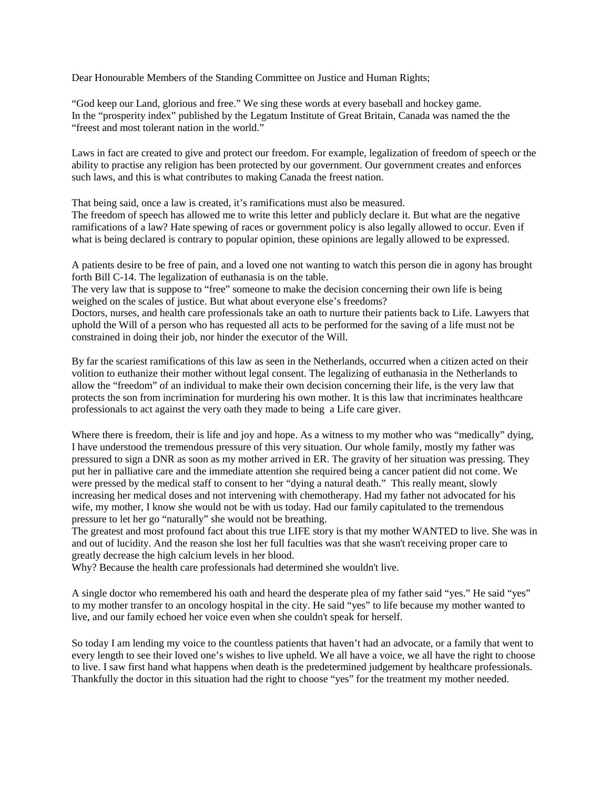Dear Honourable Members of the Standing Committee on Justice and Human Rights;

"God keep our Land, glorious and free." We sing these words at every baseball and hockey game. In the "prosperity index" published by the Legatum Institute of Great Britain, Canada was named the the "freest and most tolerant nation in the world."

Laws in fact are created to give and protect our freedom. For example, legalization of freedom of speech or the ability to practise any religion has been protected by our government. Our government creates and enforces such laws, and this is what contributes to making Canada the freest nation.

That being said, once a law is created, it's ramifications must also be measured.

The freedom of speech has allowed me to write this letter and publicly declare it. But what are the negative ramifications of a law? Hate spewing of races or government policy is also legally allowed to occur. Even if what is being declared is contrary to popular opinion, these opinions are legally allowed to be expressed.

A patients desire to be free of pain, and a loved one not wanting to watch this person die in agony has brought forth Bill C-14. The legalization of euthanasia is on the table.

The very law that is suppose to "free" someone to make the decision concerning their own life is being weighed on the scales of justice. But what about everyone else's freedoms?

Doctors, nurses, and health care professionals take an oath to nurture their patients back to Life. Lawyers that uphold the Will of a person who has requested all acts to be performed for the saving of a life must not be constrained in doing their job, nor hinder the executor of the Will.

By far the scariest ramifications of this law as seen in the Netherlands, occurred when a citizen acted on their volition to euthanize their mother without legal consent. The legalizing of euthanasia in the Netherlands to allow the "freedom" of an individual to make their own decision concerning their life, is the very law that protects the son from incrimination for murdering his own mother. It is this law that incriminates healthcare professionals to act against the very oath they made to being a Life care giver.

Where there is freedom, their is life and joy and hope. As a witness to my mother who was "medically" dying, I have understood the tremendous pressure of this very situation. Our whole family, mostly my father was pressured to sign a DNR as soon as my mother arrived in ER. The gravity of her situation was pressing. They put her in palliative care and the immediate attention she required being a cancer patient did not come. We were pressed by the medical staff to consent to her "dying a natural death." This really meant, slowly increasing her medical doses and not intervening with chemotherapy. Had my father not advocated for his wife, my mother, I know she would not be with us today. Had our family capitulated to the tremendous pressure to let her go "naturally" she would not be breathing.

The greatest and most profound fact about this true LIFE story is that my mother WANTED to live. She was in and out of lucidity. And the reason she lost her full faculties was that she wasn't receiving proper care to greatly decrease the high calcium levels in her blood.

Why? Because the health care professionals had determined she wouldn't live.

A single doctor who remembered his oath and heard the desperate plea of my father said "yes." He said "yes" to my mother transfer to an oncology hospital in the city. He said "yes" to life because my mother wanted to live, and our family echoed her voice even when she couldn't speak for herself.

So today I am lending my voice to the countless patients that haven't had an advocate, or a family that went to every length to see their loved one's wishes to live upheld. We all have a voice, we all have the right to choose to live. I saw first hand what happens when death is the predetermined judgement by healthcare professionals. Thankfully the doctor in this situation had the right to choose "yes" for the treatment my mother needed.